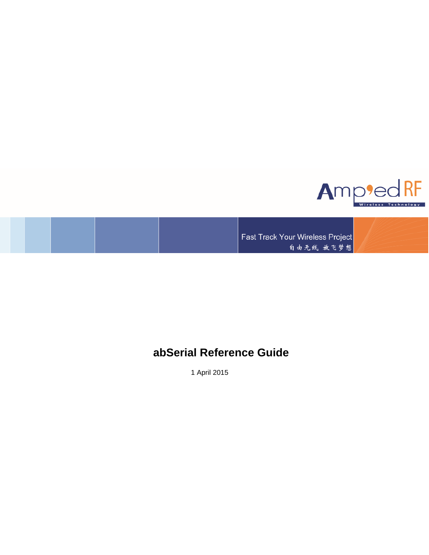

Fast Track Your Wireless Project 自由无线 放飞梦想

# **abSerial Reference Guide**

1 April 2015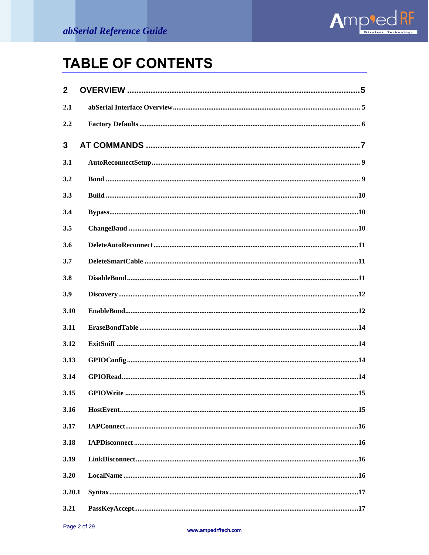

# **TABLE OF CONTENTS**

| $\overline{2}$ |  |
|----------------|--|
| 2.1            |  |
| 2.2            |  |
| 3              |  |
| 3.1            |  |
| 3.2            |  |
| 3.3            |  |
| 3.4            |  |
| 3.5            |  |
| 3.6            |  |
| 3.7            |  |
| 3.8            |  |
| 3.9            |  |
| 3.10           |  |
| 3.11           |  |
| 3.12           |  |
| 3.13           |  |
| 3.14           |  |
| 3.15           |  |
| 3.16           |  |
| 3.17           |  |
| 3.18           |  |
| 3.19           |  |
| 3.20           |  |
| 3.20.1         |  |
| 3.21           |  |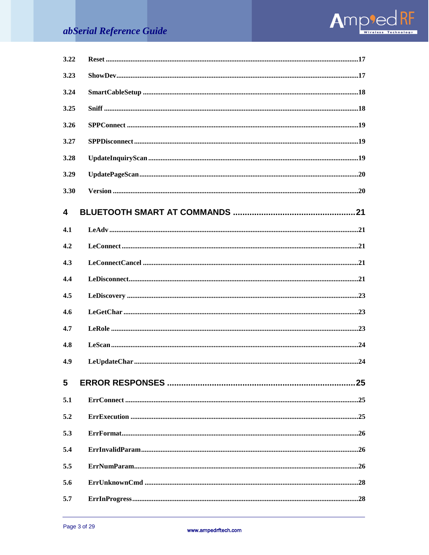

| 3.22 |  |
|------|--|
| 3.23 |  |
| 3.24 |  |
| 3.25 |  |
| 3.26 |  |
| 3.27 |  |
| 3.28 |  |
| 3.29 |  |
| 3.30 |  |
| 4    |  |
| 4.1  |  |
| 4.2  |  |
| 4.3  |  |
| 4.4  |  |
| 4.5  |  |
|      |  |
| 4.6  |  |
| 4.7  |  |
| 4.8  |  |
| 4.9  |  |
| 5    |  |
| 5.1  |  |
| 5.2  |  |
| 5.3  |  |
| 5.4  |  |
| 5.5  |  |
| 5.6  |  |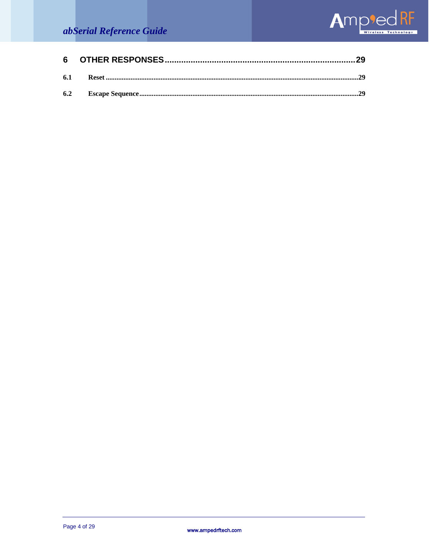

| 6.1 |  |
|-----|--|
|     |  |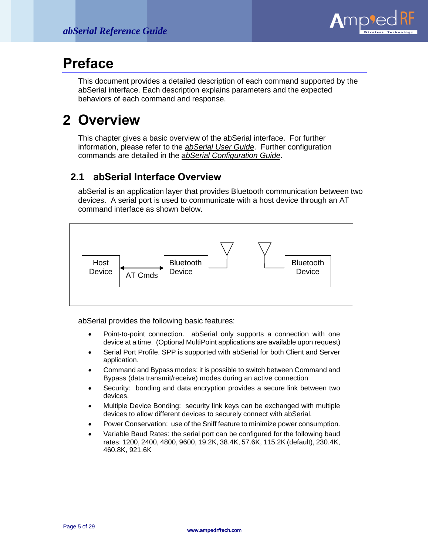

# **Preface**

This document provides a detailed description of each command supported by the abSerial interface. Each description explains parameters and the expected behaviors of each command and response.

# <span id="page-4-0"></span>**2 Overview**

This chapter gives a basic overview of the abSerial interface. For further information, please refer to the *abSerial User Guide*. Further configuration commands are detailed in the *abSerial Configuration Guide*.

# <span id="page-4-1"></span>**2.1 abSerial Interface Overview**

abSerial is an application layer that provides Bluetooth communication between two devices. A serial port is used to communicate with a host device through an AT command interface as shown below.



abSerial provides the following basic features:

- Point-to-point connection. abSerial only supports a connection with one device at a time. (Optional MultiPoint applications are available upon request)
- Serial Port Profile. SPP is supported with abSerial for both Client and Server application.
- Command and Bypass modes: it is possible to switch between Command and Bypass (data transmit/receive) modes during an active connection
- Security: bonding and data encryption provides a secure link between two devices.
- Multiple Device Bonding: security link keys can be exchanged with multiple devices to allow different devices to securely connect with abSerial.
- Power Conservation: use of the Sniff feature to minimize power consumption.
- <span id="page-4-2"></span> Variable Baud Rates: the serial port can be configured for the following baud rates: 1200, 2400, 4800, 9600, 19.2K, 38.4K, 57.6K, 115.2K (default), 230.4K, 460.8K, 921.6K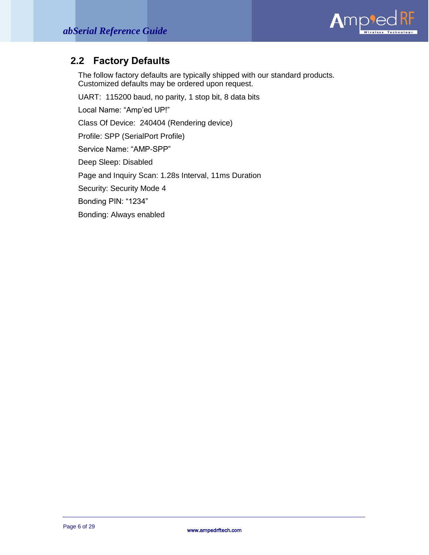

# **2.2 Factory Defaults**

The follow factory defaults are typically shipped with our standard products. Customized defaults may be ordered upon request.

UART: 115200 baud, no parity, 1 stop bit, 8 data bits Local Name: "Amp'ed UP!" Class Of Device: 240404 (Rendering device) Profile: SPP (SerialPort Profile) Service Name: "AMP-SPP" Deep Sleep: Disabled Page and Inquiry Scan: 1.28s Interval, 11ms Duration Security: Security Mode 4 Bonding PIN: "1234" Bonding: Always enabled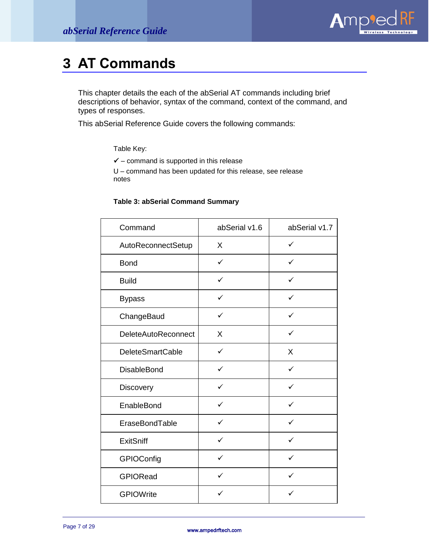

# <span id="page-6-0"></span>**3 AT Commands**

This chapter details the each of the abSerial AT commands including brief descriptions of behavior, syntax of the command, context of the command, and types of responses.

This abSerial Reference Guide covers the following commands:

Table Key:

 $\checkmark$  – command is supported in this release

U – command has been updated for this release, see release notes

#### **Table 3: abSerial Command Summary**

| Command                    | abSerial v1.6 | abSerial v1.7 |
|----------------------------|---------------|---------------|
| AutoReconnectSetup         | X             | ✓             |
| <b>Bond</b>                | ✓             | ✓             |
| <b>Build</b>               | ✓             |               |
| <b>Bypass</b>              | ✓             | ✓             |
| ChangeBaud                 | ✓             | ✓             |
| <b>DeleteAutoReconnect</b> | X             | $\checkmark$  |
| <b>DeleteSmartCable</b>    | $\checkmark$  | X             |
| <b>DisableBond</b>         | ✓             |               |
| Discovery                  | ✓             | ✓             |
| EnableBond                 | ✓             | ✓             |
| EraseBondTable             | ✓             | ✓             |
| ExitSniff                  | ✓             | ✓             |
| GPIOConfig                 | ✓             | ✓             |
| <b>GPIORead</b>            | ✓             | ✓             |
| <b>GPIOWrite</b>           |               |               |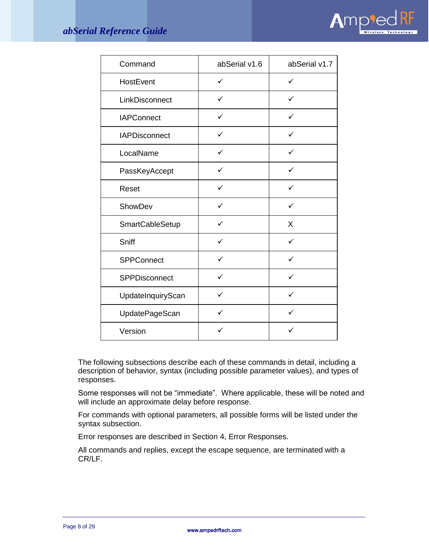

| Command               | abSerial v1.6 | abSerial v1.7 |
|-----------------------|---------------|---------------|
| HostEvent             | ✓             | ✓             |
| LinkDisconnect        |               |               |
| <b>IAPConnect</b>     | ✓             | ✓             |
| <b>IAPDisconnect</b>  | ✓             | ✓             |
| LocalName             |               |               |
| PassKeyAccept         | ✓             | ✓             |
| Reset                 | ✓             | ✓             |
| ShowDev               | ✓             | ✓             |
| SmartCableSetup       | ✓             | X             |
| Sniff                 | ✓             | ✓             |
| <b>SPPConnect</b>     | ✓             | ✓             |
| SPPDisconnect         | ✓             |               |
| UpdateInquiryScan     | ✓             | ✓             |
| <b>UpdatePageScan</b> | ✓             | ✓             |
| Version               |               |               |

The following subsections describe each of these commands in detail, including a description of behavior, syntax (including possible parameter values), and types of responses.

Some responses will not be "immediate". Where applicable, these will be noted and will include an approximate delay before response.

For commands with optional parameters, all possible forms will be listed under the syntax subsection.

Error responses are described in Section [4,](#page-20-0) [Error Responses.](#page-24-0)

All commands and replies, except the escape sequence, are terminated with a CR/LF.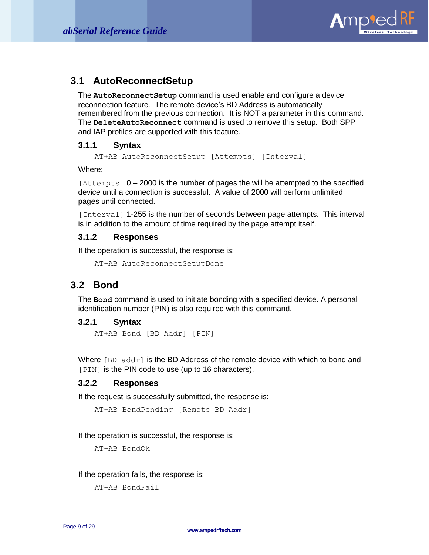

# <span id="page-8-0"></span>**3.1 AutoReconnectSetup**

The **AutoReconnectSetup** command is used enable and configure a device reconnection feature. The remote device's BD Address is automatically remembered from the previous connection. It is NOT a parameter in this command. The **DeleteAutoReconnect** command is used to remove this setup. Both SPP and IAP profiles are supported with this feature.

### **3.1.1 Syntax**

AT+AB AutoReconnectSetup [Attempts] [Interval]

Where:

 $[Attempts]$  0 – 2000 is the number of pages the will be attempted to the specified device until a connection is successful. A value of 2000 will perform unlimited pages until connected.

[Interval] 1-255 is the number of seconds between page attempts. This interval is in addition to the amount of time required by the page attempt itself.

### **3.1.2 Responses**

If the operation is successful, the response is:

```
AT-AB AutoReconnectSetupDone
```
## <span id="page-8-1"></span>**3.2 Bond**

The **Bond** command is used to initiate bonding with a specified device. A personal identification number (PIN) is also required with this command.

### **3.2.1 Syntax**

```
AT+AB Bond [BD Addr] [PIN]
```
Where  $[BD \text{ add } r]$  is the BD Address of the remote device with which to bond and [PIN] is the PIN code to use (up to 16 characters).

### **3.2.2 Responses**

If the request is successfully submitted, the response is:

```
AT-AB BondPending [Remote BD Addr]
```
If the operation is successful, the response is:

AT-AB BondOk

If the operation fails, the response is:

```
AT-AB BondFail
```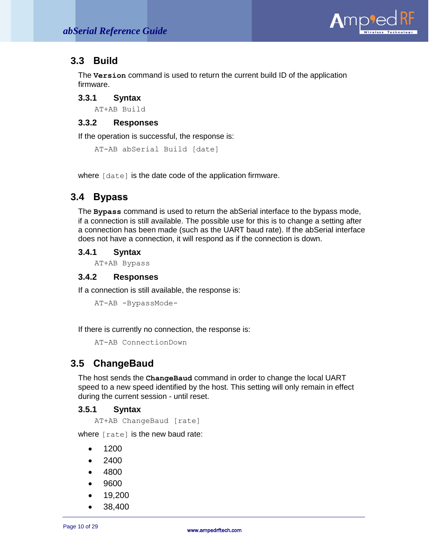

# <span id="page-9-0"></span>**3.3 Build**

The **Version** command is used to return the current build ID of the application firmware.

### **3.3.1 Syntax**

AT+AB Build

### **3.3.2 Responses**

If the operation is successful, the response is:

AT-AB abSerial Build [date]

where  $\lceil$  date $\rceil$  is the date code of the application firmware.

# <span id="page-9-1"></span>**3.4 Bypass**

The **Bypass** command is used to return the abSerial interface to the bypass mode, if a connection is still available. The possible use for this is to change a setting after a connection has been made (such as the UART baud rate). If the abSerial interface does not have a connection, it will respond as if the connection is down.

### **3.4.1 Syntax**

AT+AB Bypass

### **3.4.2 Responses**

If a connection is still available, the response is:

AT-AB -BypassMode-

If there is currently no connection, the response is:

AT-AB ConnectionDown

# <span id="page-9-2"></span>**3.5 ChangeBaud**

The host sends the **ChangeBaud** command in order to change the local UART speed to a new speed identified by the host. This setting will only remain in effect during the current session - until reset.

### **3.5.1 Syntax**

AT+AB ChangeBaud [rate]

where [rate] is the new baud rate:

- $1200$
- $2400$
- $4800$
- 9600
- $19,200$
- 38,400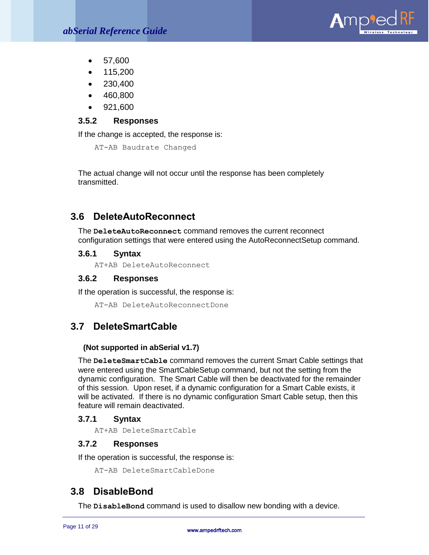

- 57,600
- $115,200$
- 230,400
- 460,800
- $\bullet$  921,600

### **3.5.2 Responses**

If the change is accepted, the response is:

AT-AB Baudrate Changed

The actual change will not occur until the response has been completely transmitted.

# <span id="page-10-0"></span>**3.6 DeleteAutoReconnect**

The **DeleteAutoReconnect** command removes the current reconnect configuration settings that were entered using the AutoReconnectSetup command.

### **3.6.1 Syntax**

AT+AB DeleteAutoReconnect

#### **3.6.2 Responses**

If the operation is successful, the response is:

```
AT-AB DeleteAutoReconnectDone
```
# <span id="page-10-1"></span>**3.7 DeleteSmartCable**

### **(Not supported in abSerial v1.7)**

The **DeleteSmartCable** command removes the current Smart Cable settings that were entered using the SmartCableSetup command, but not the setting from the dynamic configuration. The Smart Cable will then be deactivated for the remainder of this session. Upon reset, if a dynamic configuration for a Smart Cable exists, it will be activated. If there is no dynamic configuration Smart Cable setup, then this feature will remain deactivated.

### **3.7.1 Syntax**

AT+AB DeleteSmartCable

### **3.7.2 Responses**

If the operation is successful, the response is:

```
AT-AB DeleteSmartCableDone
```
## <span id="page-10-2"></span>**3.8 DisableBond**

The **DisableBond** command is used to disallow new bonding with a device.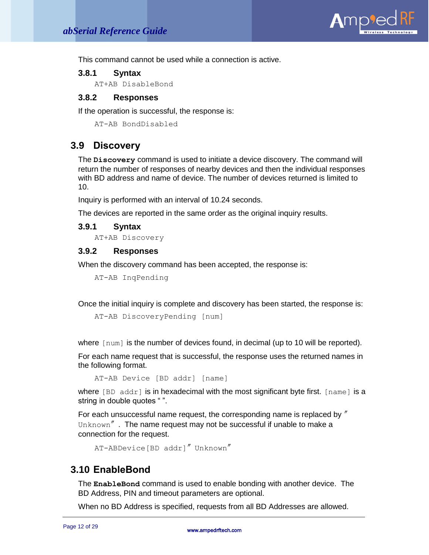

This command cannot be used while a connection is active.

### **3.8.1 Syntax**

AT+AB DisableBond

### **3.8.2 Responses**

If the operation is successful, the response is:

```
AT-AB BondDisabled
```
# <span id="page-11-0"></span>**3.9 Discovery**

The **Discovery** command is used to initiate a device discovery. The command will return the number of responses of nearby devices and then the individual responses with BD address and name of device. The number of devices returned is limited to 10.

Inquiry is performed with an interval of 10.24 seconds.

The devices are reported in the same order as the original inquiry results.

### **3.9.1 Syntax**

AT+AB Discovery

### **3.9.2 Responses**

When the discovery command has been accepted, the response is:

```
AT-AB InqPending
```
Once the initial inquiry is complete and discovery has been started, the response is:

```
AT-AB DiscoveryPending [num]
```
where  $\lceil \text{num} \rceil$  is the number of devices found, in decimal (up to 10 will be reported).

For each name request that is successful, the response uses the returned names in the following format.

```
AT-AB Device [BD addr] [name]
```
where  $[BD \text{addr}]$  is in hexadecimal with the most significant byte first.  $[name]$  is a string in double quotes "".

For each unsuccessful name request, the corresponding name is replaced by ″ Unknown<sup>"</sup>. The name request may not be successful if unable to make a connection for the request.

```
AT-ABDevice[BD addr]″Unknown″
```
# <span id="page-11-1"></span>**3.10 EnableBond**

The **EnableBond** command is used to enable bonding with another device. The BD Address, PIN and timeout parameters are optional.

When no BD Address is specified, requests from all BD Addresses are allowed.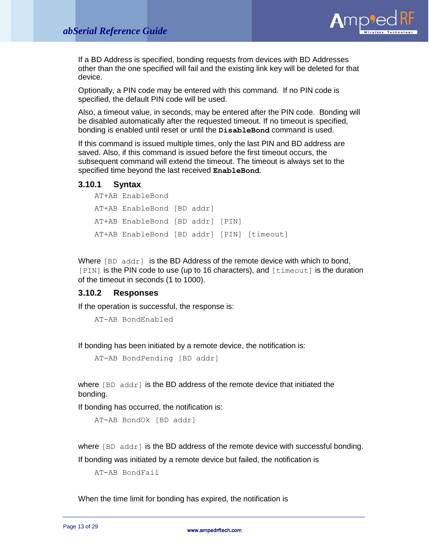

If a BD Address is specified, bonding requests from devices with BD Addresses other than the one specified will fail and the existing link key will be deleted for that device.

Optionally, a PIN code may be entered with this command. If no PIN code is specified, the default PIN code will be used.

Also, a timeout value, in seconds, may be entered after the PIN code. Bonding will be disabled automatically after the requested timeout. If no timeout is specified, bonding is enabled until reset or until the **DisableBond** command is used.

If this command is issued multiple times, only the last PIN and BD address are saved. Also, if this command is issued before the first timeout occurs, the subsequent command will extend the timeout. The timeout is always set to the specified time beyond the last received **EnableBond**.

### **3.10.1 Syntax**

```
AT+AB EnableBond
AT+AB EnableBond [BD addr]
AT+AB EnableBond [BD addr] [PIN]
AT+AB EnableBond [BD addr] [PIN] [timeout]
```
Where  $[BD \text{ add } r]$  is the BD Address of the remote device with which to bond, [PIN] is the PIN code to use (up to 16 characters), and [timeout] is the duration of the timeout in seconds (1 to 1000).

### **3.10.2 Responses**

If the operation is successful, the response is:

```
AT-AB BondEnabled
```
If bonding has been initiated by a remote device, the notification is:

```
AT-AB BondPending [BD addr]
```
where  $[BD \text{ add } r]$  is the BD address of the remote device that initiated the bonding.

If bonding has occurred, the notification is:

```
AT-AB BondOk [BD addr]
```
where  $[BD \text{addr}]$  is the BD address of the remote device with successful bonding.

If bonding was initiated by a remote device but failed, the notification is

```
AT-AB BondFail
```
When the time limit for bonding has expired, the notification is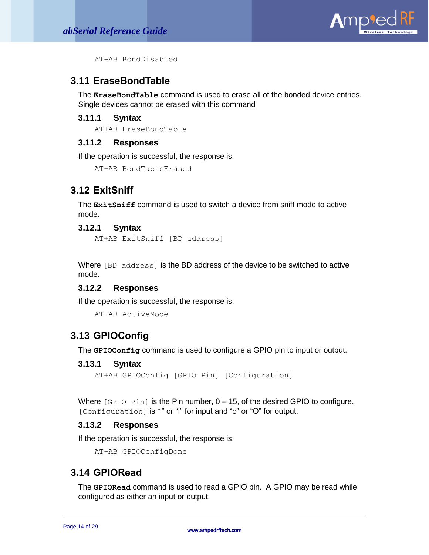

AT-AB BondDisabled

## <span id="page-13-0"></span>**3.11 EraseBondTable**

The **EraseBondTable** command is used to erase all of the bonded device entries. Single devices cannot be erased with this command

### **3.11.1 Syntax**

AT+AB EraseBondTable

### **3.11.2 Responses**

If the operation is successful, the response is:

AT-AB BondTableErased

# <span id="page-13-1"></span>**3.12 ExitSniff**

The **ExitSniff** command is used to switch a device from sniff mode to active mode.

### **3.12.1 Syntax**

AT+AB ExitSniff [BD address]

Where [BD address] is the BD address of the device to be switched to active mode.

### **3.12.2 Responses**

If the operation is successful, the response is:

```
AT-AB ActiveMode
```
### <span id="page-13-2"></span>**3.13 GPIOConfig**

The **GPIOConfig** command is used to configure a GPIO pin to input or output.

#### **3.13.1 Syntax**

```
AT+AB GPIOConfig [GPIO Pin] [Configuration]
```
Where  $[GPIO Pin]$  is the Pin number,  $0 - 15$ , of the desired GPIO to configure. [Configuration] is "i" or "I" for input and "o" or "O" for output.

### **3.13.2 Responses**

If the operation is successful, the response is:

AT-AB GPIOConfigDone

## <span id="page-13-3"></span>**3.14 GPIORead**

The **GPIORead** command is used to read a GPIO pin. A GPIO may be read while configured as either an input or output.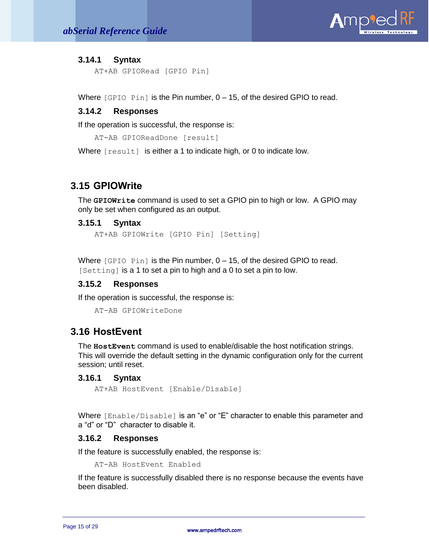

### **3.14.1 Syntax**

AT+AB GPIORead [GPIO Pin]

Where  $[GPIO$  Pin] is the Pin number,  $0 - 15$ , of the desired GPIO to read.

### **3.14.2 Responses**

If the operation is successful, the response is:

AT-AB GPIOReadDone [result]

Where [result] is either a 1 to indicate high, or 0 to indicate low.

# <span id="page-14-0"></span>**3.15 GPIOWrite**

The **GPIOWrite** command is used to set a GPIO pin to high or low. A GPIO may only be set when configured as an output.

### **3.15.1 Syntax**

AT+AB GPIOWrite [GPIO Pin] [Setting]

Where  $[GPIO Pin]$  is the Pin number,  $0 - 15$ , of the desired GPIO to read.  $[Setting]$  is a 1 to set a pin to high and a 0 to set a pin to low.

### **3.15.2 Responses**

If the operation is successful, the response is:

```
AT-AB GPIOWriteDone
```
### <span id="page-14-1"></span>**3.16 HostEvent**

The **HostEvent** command is used to enable/disable the host notification strings. This will override the default setting in the dynamic configuration only for the current session; until reset.

### **3.16.1 Syntax**

```
AT+AB HostEvent [Enable/Disable]
```
Where [Enable/Disable] is an "e" or "E" character to enable this parameter and a "d" or "D" character to disable it.

### **3.16.2 Responses**

If the feature is successfully enabled, the response is:

AT-AB HostEvent Enabled

If the feature is successfully disabled there is no response because the events have been disabled.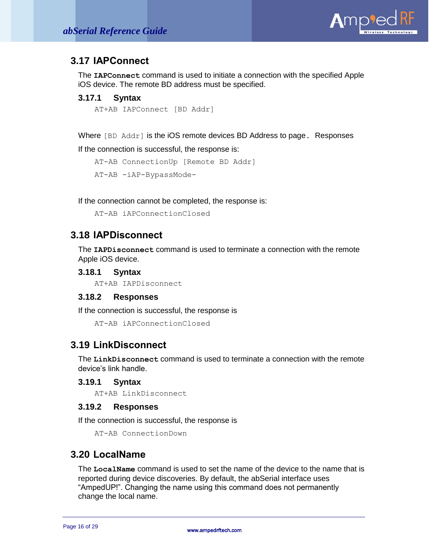

# <span id="page-15-0"></span>**3.17 IAPConnect**

The **IAPConnect** command is used to initiate a connection with the specified Apple iOS device. The remote BD address must be specified.

### **3.17.1 Syntax**

```
AT+AB IAPConnect [BD Addr]
```
Where  $[BD \text{ Addr}]$  is the iOS remote devices BD Address to page. Responses If the connection is successful, the response is:

```
AT-AB ConnectionUp [Remote BD Addr]
AT-AB -iAP-BypassMode-
```
If the connection cannot be completed, the response is:

```
AT-AB iAPConnectionClosed
```
## <span id="page-15-1"></span>**3.18 IAPDisconnect**

The **IAPDisconnect** command is used to terminate a connection with the remote Apple iOS device.

### **3.18.1 Syntax**

AT+AB IAPDisconnect

### **3.18.2 Responses**

If the connection is successful, the response is

AT-AB iAPConnectionClosed

## <span id="page-15-2"></span>**3.19 LinkDisconnect**

The **LinkDisconnect** command is used to terminate a connection with the remote device's link handle.

### **3.19.1 Syntax**

AT+AB LinkDisconnect

### **3.19.2 Responses**

If the connection is successful, the response is

AT-AB ConnectionDown

## <span id="page-15-3"></span>**3.20 LocalName**

The **LocalName** command is used to set the name of the device to the name that is reported during device discoveries. By default, the abSerial interface uses "AmpedUP!". Changing the name using this command does not permanently change the local name.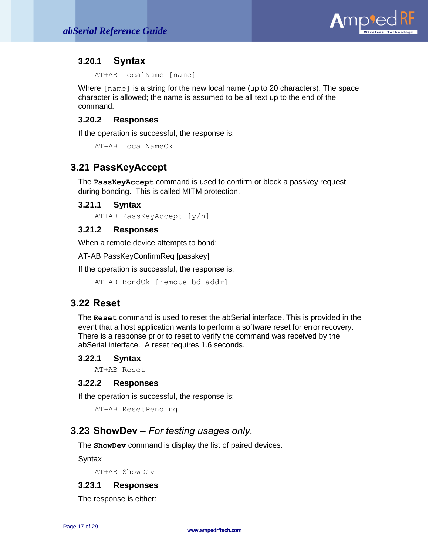

## <span id="page-16-0"></span>**3.20.1 Syntax**

AT+AB LocalName [name]

Where [name] is a string for the new local name (up to 20 characters). The space character is allowed; the name is assumed to be all text up to the end of the command.

### **3.20.2 Responses**

If the operation is successful, the response is:

AT-AB LocalNameOk

# <span id="page-16-1"></span>**3.21 PassKeyAccept**

The **PassKeyAccept** command is used to confirm or block a passkey request during bonding. This is called MITM protection.

### **3.21.1 Syntax**

AT+AB PassKeyAccept [y/n]

### **3.21.2 Responses**

When a remote device attempts to bond:

AT-AB PassKeyConfirmReq [passkey]

If the operation is successful, the response is:

AT-AB BondOk [remote bd addr]

## <span id="page-16-2"></span>**3.22 Reset**

The **Reset** command is used to reset the abSerial interface. This is provided in the event that a host application wants to perform a software reset for error recovery. There is a response prior to reset to verify the command was received by the abSerial interface. A reset requires 1.6 seconds.

### **3.22.1 Syntax**

AT+AB Reset

### **3.22.2 Responses**

If the operation is successful, the response is:

```
AT-AB ResetPending
```
## <span id="page-16-3"></span>**3.23 ShowDev –** *For testing usages only.*

The **ShowDev** command is display the list of paired devices.

**Syntax** 

AT+AB ShowDev

### **3.23.1 Responses**

The response is either: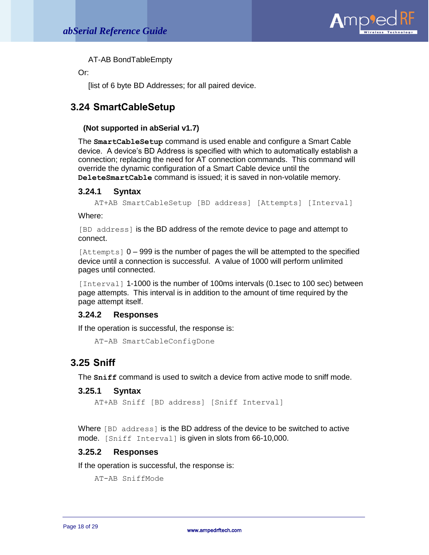

AT-AB BondTableEmpty

Or:

[list of 6 byte BD Addresses; for all paired device.

# <span id="page-17-0"></span>**3.24 SmartCableSetup**

### **(Not supported in abSerial v1.7)**

The **SmartCableSetup** command is used enable and configure a Smart Cable device. A device's BD Address is specified with which to automatically establish a connection; replacing the need for AT connection commands. This command will override the dynamic configuration of a Smart Cable device until the **DeleteSmartCable** command is issued; it is saved in non-volatile memory.

### **3.24.1 Syntax**

```
AT+AB SmartCableSetup [BD address] [Attempts] [Interval]
```
Where:

[BD address] is the BD address of the remote device to page and attempt to connect.

 $[At$  tempts $]$  0 – 999 is the number of pages the will be attempted to the specified device until a connection is successful. A value of 1000 will perform unlimited pages until connected.

[Interval] 1-1000 is the number of 100ms intervals (0.1sec to 100 sec) between page attempts. This interval is in addition to the amount of time required by the page attempt itself.

### **3.24.2 Responses**

If the operation is successful, the response is:

```
AT-AB SmartCableConfigDone
```
### <span id="page-17-1"></span>**3.25 Sniff**

The **Sniff** command is used to switch a device from active mode to sniff mode.

### **3.25.1 Syntax**

```
AT+AB Sniff [BD address] [Sniff Interval]
```
Where [BD address] is the BD address of the device to be switched to active mode. [Sniff Interval] is given in slots from 66-10,000.

### **3.25.2 Responses**

If the operation is successful, the response is:

AT-AB SniffMode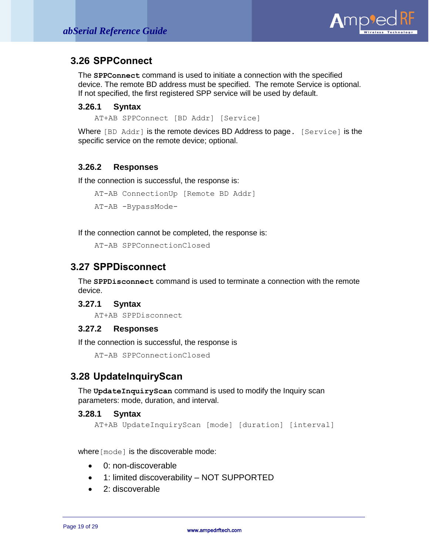

# <span id="page-18-0"></span>**3.26 SPPConnect**

The **SPPConnect** command is used to initiate a connection with the specified device. The remote BD address must be specified. The remote Service is optional. If not specified, the first registered SPP service will be used by default.

### **3.26.1 Syntax**

AT+AB SPPConnect [BD Addr] [Service]

Where  $[BD \text{ Addr}]$  is the remote devices BD Address to page.  $[Service]$  is the specific service on the remote device; optional.

### **3.26.2 Responses**

If the connection is successful, the response is:

AT-AB ConnectionUp [Remote BD Addr] AT-AB -BypassMode-

If the connection cannot be completed, the response is:

```
AT-AB SPPConnectionClosed
```
# <span id="page-18-1"></span>**3.27 SPPDisconnect**

The **SPPDisconnect** command is used to terminate a connection with the remote device.

### **3.27.1 Syntax**

AT+AB SPPDisconnect

### **3.27.2 Responses**

If the connection is successful, the response is

AT-AB SPPConnectionClosed

# <span id="page-18-2"></span>**3.28 UpdateInquiryScan**

The **UpdateInquiryScan** command is used to modify the Inquiry scan parameters: mode, duration, and interval.

### **3.28.1 Syntax**

```
AT+AB UpdateInquiryScan [mode] [duration] [interval]
```
where [mode] is the discoverable mode:

- 0: non-discoverable
- 1: limited discoverability NOT SUPPORTED
- 2: discoverable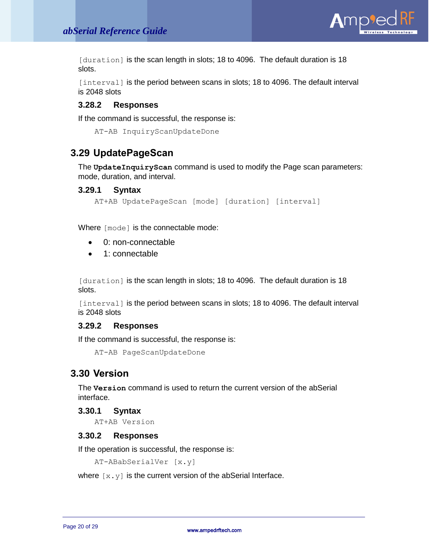

[duration] is the scan length in slots; 18 to 4096. The default duration is 18 slots.

[interval] is the period between scans in slots; 18 to 4096. The default interval is 2048 slots

### **3.28.2 Responses**

If the command is successful, the response is:

```
AT-AB InquiryScanUpdateDone
```
## <span id="page-19-0"></span>**3.29 UpdatePageScan**

The **UpdateInquiryScan** command is used to modify the Page scan parameters: mode, duration, and interval.

### **3.29.1 Syntax**

```
AT+AB UpdatePageScan [mode] [duration] [interval]
```
Where [mode] is the connectable mode:

- 0: non-connectable
- 1: connectable

[duration] is the scan length in slots; 18 to 4096. The default duration is 18 slots.

[interval] is the period between scans in slots; 18 to 4096. The default interval is 2048 slots

### **3.29.2 Responses**

If the command is successful, the response is:

AT-AB PageScanUpdateDone

## <span id="page-19-1"></span>**3.30 Version**

The **Version** command is used to return the current version of the abSerial interface.

**3.30.1 Syntax**

AT+AB Version

### **3.30.2 Responses**

If the operation is successful, the response is:

AT-ABabSerialVer [x.y]

where  $[x,y]$  is the current version of the abSerial Interface.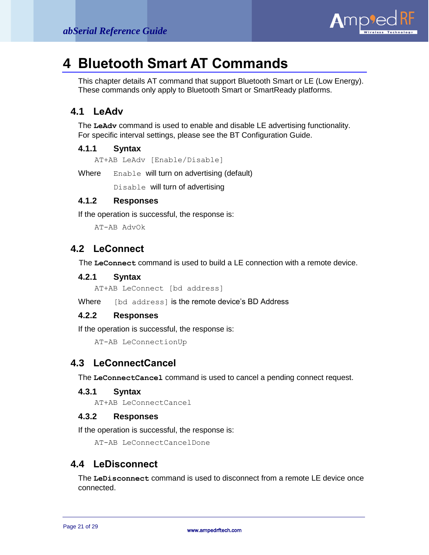

# <span id="page-20-0"></span>**4 Bluetooth Smart AT Commands**

This chapter details AT command that support Bluetooth Smart or LE (Low Energy). These commands only apply to Bluetooth Smart or SmartReady platforms.

# <span id="page-20-1"></span>**4.1 LeAdv**

The **LeAdv** command is used to enable and disable LE advertising functionality. For specific interval settings, please see the BT Configuration Guide.

### **4.1.1 Syntax**

AT+AB LeAdv [Enable/Disable]

Where Enable will turn on advertising (default)

Disable will turn of advertising

### **4.1.2 Responses**

If the operation is successful, the response is:

AT-AB AdvOk

# <span id="page-20-2"></span>**4.2 LeConnect**

The **LeConnect** command is used to build a LE connection with a remote device.

### **4.2.1 Syntax**

AT+AB LeConnect [bd address]

Where [bd address] is the remote device's BD Address

### **4.2.2 Responses**

If the operation is successful, the response is:

AT-AB LeConnectionUp

## <span id="page-20-3"></span>**4.3 LeConnectCancel**

The **LeConnectCancel** command is used to cancel a pending connect request.

### **4.3.1 Syntax**

AT+AB LeConnectCancel

### **4.3.2 Responses**

If the operation is successful, the response is:

AT-AB LeConnectCancelDone

# <span id="page-20-4"></span>**4.4 LeDisconnect**

The **LeDisconnect** command is used to disconnect from a remote LE device once connected.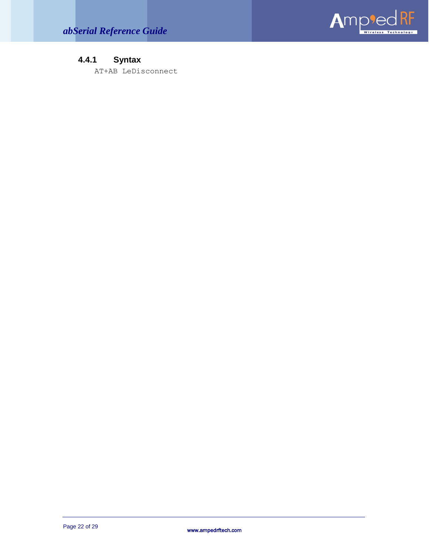

# **4.4.1 Syntax**

AT+AB LeDisconnect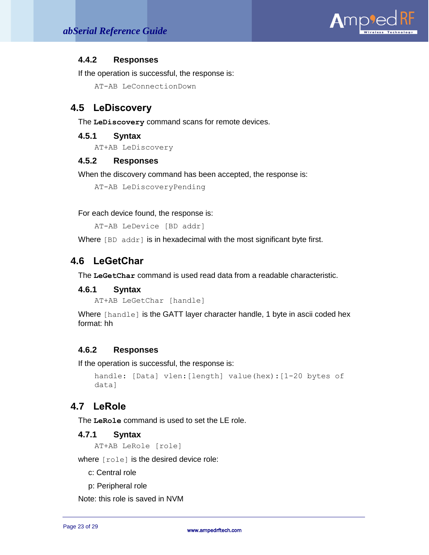

### **4.4.2 Responses**

If the operation is successful, the response is:

AT-AB LeConnectionDown

# <span id="page-22-0"></span>**4.5 LeDiscovery**

The **LeDiscovery** command scans for remote devices.

### **4.5.1 Syntax**

AT+AB LeDiscovery

### **4.5.2 Responses**

When the discovery command has been accepted, the response is:

AT-AB LeDiscoveryPending

For each device found, the response is:

AT-AB LeDevice [BD addr]

Where [BD addr] is in hexadecimal with the most significant byte first.

# <span id="page-22-1"></span>**4.6 LeGetChar**

The **LeGetChar** command is used read data from a readable characteristic.

### **4.6.1 Syntax**

AT+AB LeGetChar [handle]

Where  $[handle]$  is the GATT layer character handle, 1 byte in ascii coded hex format: hh

### **4.6.2 Responses**

If the operation is successful, the response is:

```
handle: [Data] vlen:[length] value(hex):[1-20 bytes of 
data]
```
# <span id="page-22-2"></span>**4.7 LeRole**

The **LeRole** command is used to set the LE role.

### **4.7.1 Syntax**

AT+AB LeRole [role]

where  $[role]$  is the desired device role:

c: Central role

p: Peripheral role

Note: this role is saved in NVM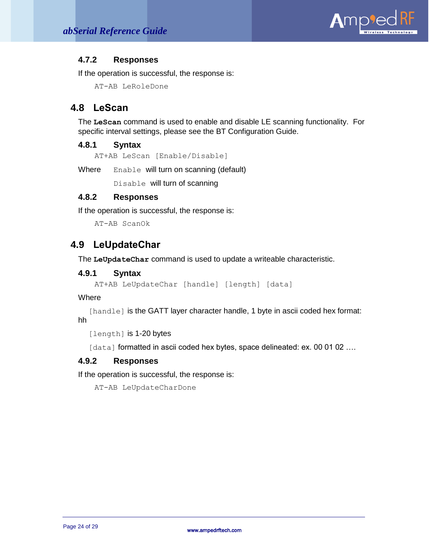

### **4.7.2 Responses**

If the operation is successful, the response is:

AT-AB LeRoleDone

# <span id="page-23-0"></span>**4.8 LeScan**

The **LeScan** command is used to enable and disable LE scanning functionality. For specific interval settings, please see the BT Configuration Guide.

### **4.8.1 Syntax**

AT+AB LeScan [Enable/Disable]

Where Enable will turn on scanning (default)

Disable will turn of scanning

### **4.8.2 Responses**

If the operation is successful, the response is:

AT-AB ScanOk

## <span id="page-23-1"></span>**4.9 LeUpdateChar**

The **LeUpdateChar** command is used to update a writeable characteristic.

### **4.9.1 Syntax**

```
AT+AB LeUpdateChar [handle] [length] [data]
```
Where

[handle] is the GATT layer character handle, 1 byte in ascii coded hex format: hh

[length] is 1-20 bytes

[data] formatted in ascii coded hex bytes, space delineated: ex. 00 01 02 ....

### **4.9.2 Responses**

If the operation is successful, the response is:

AT-AB LeUpdateCharDone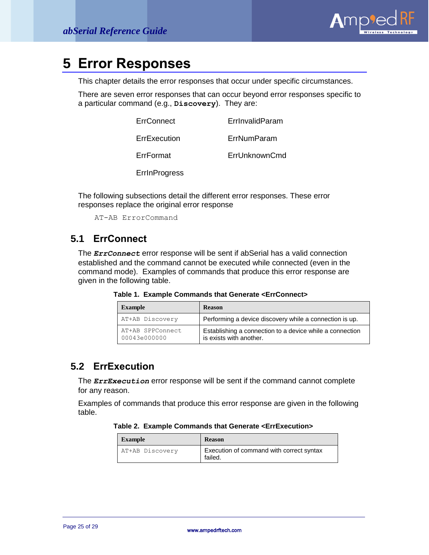

# <span id="page-24-0"></span>**5 Error Responses**

This chapter details the error responses that occur under specific circumstances.

There are seven error responses that can occur beyond error responses specific to a particular command (e.g., **Discovery**). They are:

| ErrConnect           | ErrlnyalidParam |
|----------------------|-----------------|
| ErrExecution         | ErrNumParam     |
| ErrFormat            | ErrUnknownCmd   |
| <b>ErrinProgress</b> |                 |

The following subsections detail the different error responses. These error responses replace the original error response

AT-AB ErrorCommand

# <span id="page-24-1"></span>**5.1 ErrConnect**

The *ErrConnect* error response will be sent if abSerial has a valid connection established and the command cannot be executed while connected (even in the command mode). Examples of commands that produce this error response are given in the following table.

**Table 1. Example Commands that Generate <ErrConnect>**

| <b>Example</b>                   | <b>Reason</b>                                                                       |
|----------------------------------|-------------------------------------------------------------------------------------|
| AT+AB Discovery                  | Performing a device discovery while a connection is up.                             |
| AT+AB SPPConnect<br>00043e000000 | Establishing a connection to a device while a connection<br>is exists with another. |

# <span id="page-24-2"></span>**5.2 ErrExecution**

The *ErrExecution* error response will be sent if the command cannot complete for any reason.

Examples of commands that produce this error response are given in the following table.

#### **Table 2. Example Commands that Generate <ErrExecution>**

| <b>Example</b>  | <b>Reason</b>                                       |
|-----------------|-----------------------------------------------------|
| AT+AB Discovery | Execution of command with correct syntax<br>failed. |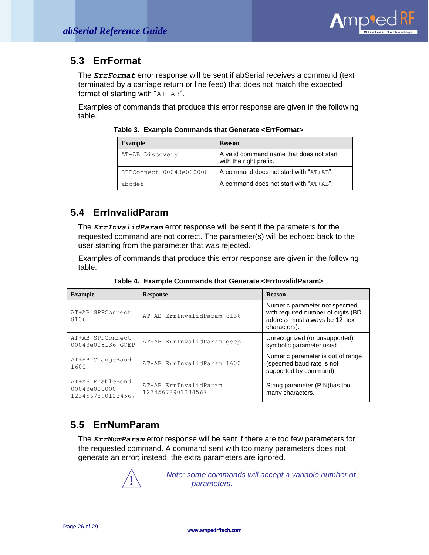

# <span id="page-25-0"></span>**5.3 ErrFormat**

The *ErrFormat* error response will be sent if abSerial receives a command (text terminated by a carriage return or line feed) that does not match the expected format of starting with "AT+AB".

Examples of commands that produce this error response are given in the following table.

| <b>Example</b>          | <b>Reason</b>                                                      |
|-------------------------|--------------------------------------------------------------------|
| AT-AB Discovery         | A valid command name that does not start<br>with the right prefix. |
| SPPConnect 00043e000000 | A command does not start with " $AT+AB$ ".                         |
| abcdef                  | A command does not start with "AT+AB".                             |

### **Table 3. Example Commands that Generate <ErrFormat>**

# <span id="page-25-1"></span>**5.4 ErrInvalidParam**

The *ErrInvalidParam* error response will be sent if the parameters for the requested command are not correct. The parameter(s) will be echoed back to the user starting from the parameter that was rejected.

Examples of commands that produce this error response are given in the following table.

| <b>Example</b>                                        | <b>Response</b>                            | <b>Reason</b>                                                                                                          |
|-------------------------------------------------------|--------------------------------------------|------------------------------------------------------------------------------------------------------------------------|
| AT+AB SPPConnect<br>8136                              | AT-AB ErrInvalidParam 8136                 | Numeric parameter not specified<br>with required number of digits (BD<br>address must always be 12 hex<br>characters). |
| AT+AB SPPConnect<br>00043e008136 GOEP                 | AT-AB ErrInvalidParam goep                 | Unrecognized (or unsupported)<br>symbolic parameter used.                                                              |
| AT+AB ChangeBaud<br>1600                              | AT-AB ErrInvalidParam 1600                 | Numeric parameter is out of range<br>(specified baud rate is not<br>supported by command).                             |
| AT+AB EnableBond<br>00043e000000<br>12345678901234567 | AT-AB ErrInvalidParam<br>12345678901234567 | String parameter (PIN) has too<br>many characters.                                                                     |

**Table 4. Example Commands that Generate <ErrInvalidParam>**

# <span id="page-25-2"></span>**5.5 ErrNumParam**

The *ErrNumParam* error response will be sent if there are too few parameters for the requested command. A command sent with too many parameters does not generate an error; instead, the extra parameters are ignored.



*Note: some commands will accept a variable number of parameters.*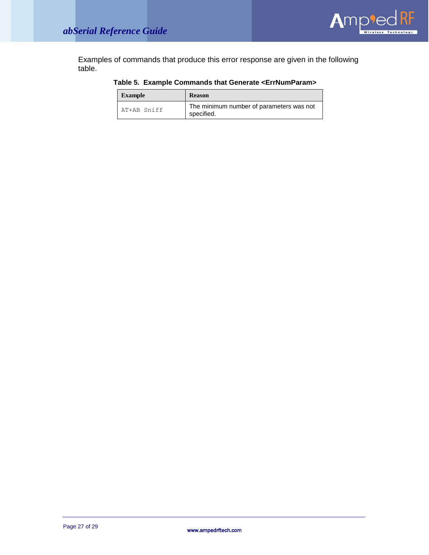

Examples of commands that produce this error response are given in the following table.

### **Table 5. Example Commands that Generate <ErrNumParam>**

| Example     | <b>Reason</b>                                          |
|-------------|--------------------------------------------------------|
| AT+AB Sniff | The minimum number of parameters was not<br>specified. |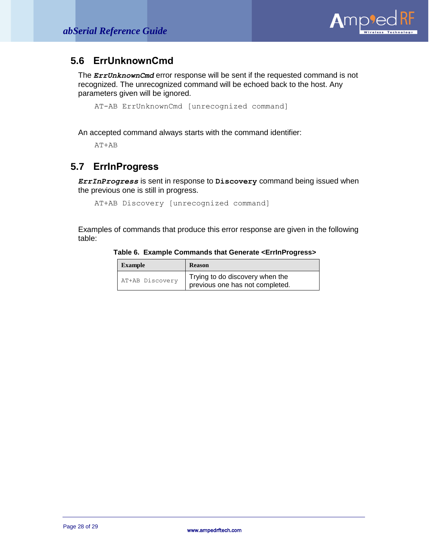

# <span id="page-27-0"></span>**5.6 ErrUnknownCmd**

The *ErrUnknownCmd* error response will be sent if the requested command is not recognized. The unrecognized command will be echoed back to the host. Any parameters given will be ignored.

```
AT-AB ErrUnknownCmd [unrecognized command]
```
An accepted command always starts with the command identifier:

AT+AB

# <span id="page-27-1"></span>**5.7 ErrInProgress**

*ErrInProgress* is sent in response to **Discovery** command being issued when the previous one is still in progress.

AT+AB Discovery [unrecognized command]

Examples of commands that produce this error response are given in the following table:

#### **Table 6. Example Commands that Generate <ErrInProgress>**

| <b>Example</b>  | <b>Reason</b>                                                      |
|-----------------|--------------------------------------------------------------------|
| AT+AB Discovery | Trying to do discovery when the<br>previous one has not completed. |